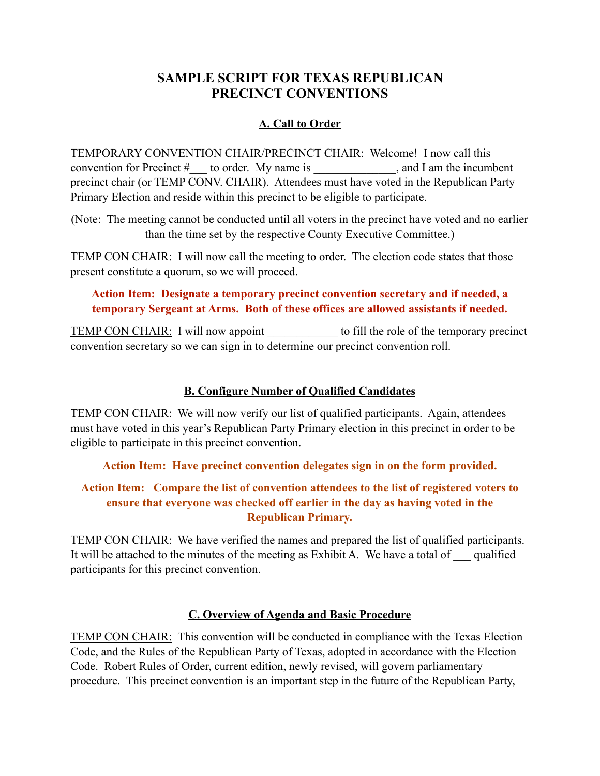# **SAMPLE SCRIPT FOR TEXAS REPUBLICAN PRECINCT CONVENTIONS**

# **A. Call to Order**

TEMPORARY CONVENTION CHAIR/PRECINCT CHAIR: Welcome! I now call this convention for Precinct # \_\_ to order. My name is \_\_\_\_\_\_\_\_\_\_, and I am the incumbent precinct chair (or TEMP CONV. CHAIR). Attendees must have voted in the Republican Party Primary Election and reside within this precinct to be eligible to participate.

(Note: The meeting cannot be conducted until all voters in the precinct have voted and no earlier than the time set by the respective County Executive Committee.)

TEMP CON CHAIR: I will now call the meeting to order. The election code states that those present constitute a quorum, so we will proceed.

## **Action Item: Designate a temporary precinct convention secretary and if needed, a temporary Sergeant at Arms. Both of these offices are allowed assistants if needed.**

TEMP CON CHAIR: I will now appoint to fill the role of the temporary precinct convention secretary so we can sign in to determine our precinct convention roll.

# **B. Configure Number of Qualified Candidates**

TEMP CON CHAIR: We will now verify our list of qualified participants. Again, attendees must have voted in this year's Republican Party Primary election in this precinct in order to be eligible to participate in this precinct convention.

**Action Item: Have precinct convention delegates sign in on the form provided.**

### **Action Item: Compare the list of convention attendees to the list of registered voters to ensure that everyone was checked off earlier in the day as having voted in the Republican Primary.**

TEMP CON CHAIR: We have verified the names and prepared the list of qualified participants. It will be attached to the minutes of the meeting as Exhibit A. We have a total of qualified participants for this precinct convention.

## **C. Overview of Agenda and Basic Procedure**

TEMP CON CHAIR: This convention will be conducted in compliance with the Texas Election Code, and the Rules of the Republican Party of Texas, adopted in accordance with the Election Code. Robert Rules of Order, current edition, newly revised, will govern parliamentary procedure. This precinct convention is an important step in the future of the Republican Party,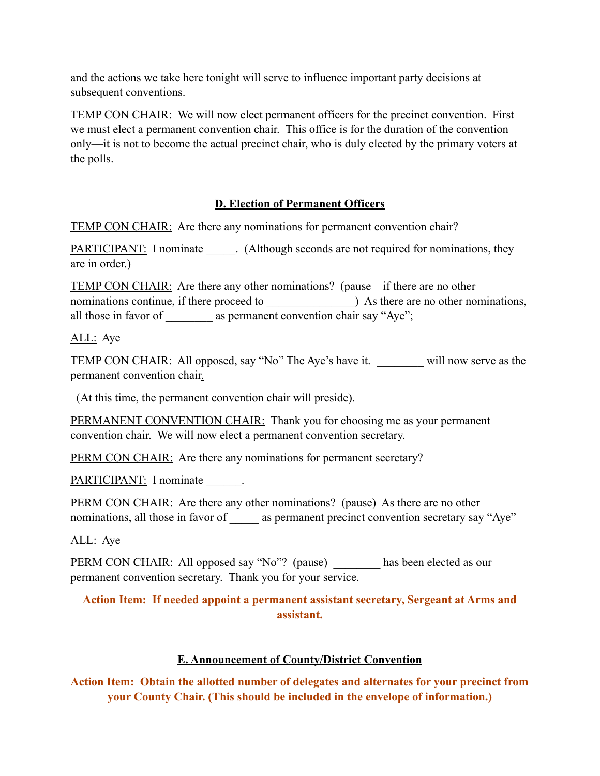and the actions we take here tonight will serve to influence important party decisions at subsequent conventions.

TEMP CON CHAIR: We will now elect permanent officers for the precinct convention. First we must elect a permanent convention chair. This office is for the duration of the convention only—it is not to become the actual precinct chair, who is duly elected by the primary voters at the polls.

# **D. Election of Permanent Officers**

TEMP CON CHAIR: Are there any nominations for permanent convention chair?

PARTICIPANT: I nominate (Although seconds are not required for nominations, they are in order.)

TEMP CON CHAIR: Are there any other nominations? (pause – if there are no other nominations continue, if there proceed to  $\qquad$ ) As there are no other nominations, all those in favor of as permanent convention chair say "Aye";

## ALL: Aye

TEMP CON CHAIR: All opposed, say "No" The Aye's have it. will now serve as the permanent convention chair.

(At this time, the permanent convention chair will preside).

PERMANENT CONVENTION CHAIR: Thank you for choosing me as your permanent convention chair. We will now elect a permanent convention secretary.

PERM CON CHAIR: Are there any nominations for permanent secretary?

PARTICIPANT: I nominate

PERM CON CHAIR: Are there any other nominations? (pause) As there are no other nominations, all those in favor of as permanent precinct convention secretary say "Aye"

ALL: Aye

PERM CON CHAIR: All opposed say "No"? (pause) \_\_\_\_\_\_\_ has been elected as our permanent convention secretary. Thank you for your service.

### **Action Item: If needed appoint a permanent assistant secretary, Sergeant at Arms and assistant.**

# **E. Announcement of County/District Convention**

**Action Item: Obtain the allotted number of delegates and alternates for your precinct from your County Chair. (This should be included in the envelope of information.)**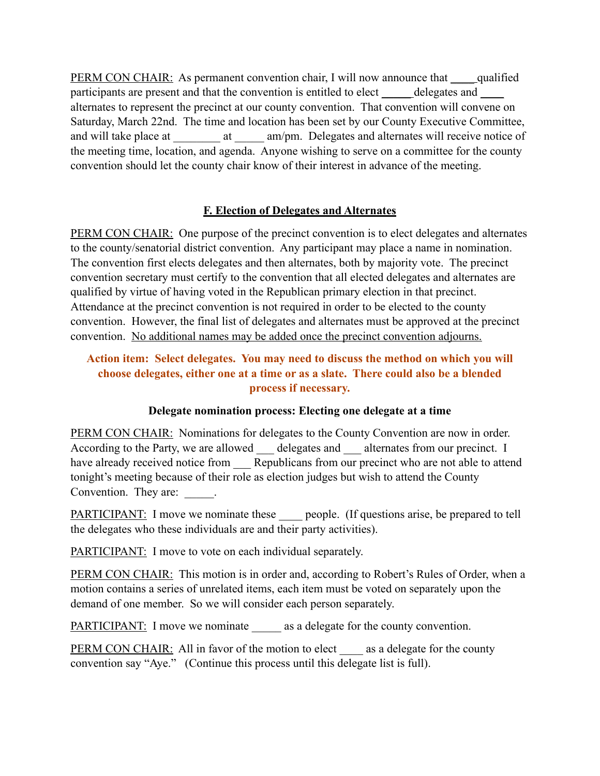PERM CON CHAIR: As permanent convention chair, I will now announce that <u>equalified</u> participants are present and that the convention is entitled to elect \_\_\_\_\_\_ delegates and \_\_\_\_\_ alternates to represent the precinct at our county convention. That convention will convene on Saturday, March 22nd. The time and location has been set by our County Executive Committee, and will take place at \_\_\_\_\_\_\_ at \_\_\_\_\_ am/pm. Delegates and alternates will receive notice of the meeting time, location, and agenda. Anyone wishing to serve on a committee for the county convention should let the county chair know of their interest in advance of the meeting.

#### **F. Election of Delegates and Alternates**

PERM CON CHAIR: One purpose of the precinct convention is to elect delegates and alternates to the county/senatorial district convention. Any participant may place a name in nomination. The convention first elects delegates and then alternates, both by majority vote. The precinct convention secretary must certify to the convention that all elected delegates and alternates are qualified by virtue of having voted in the Republican primary election in that precinct. Attendance at the precinct convention is not required in order to be elected to the county convention. However, the final list of delegates and alternates must be approved at the precinct convention. No additional names may be added once the precinct convention adjourns.

## **Action item: Select delegates. You may need to discuss the method on which you will choose delegates, either one at a time or as a slate. There could also be a blended process if necessary.**

## **Delegate nomination process: Electing one delegate at a time**

PERM CON CHAIR: Nominations for delegates to the County Convention are now in order. According to the Party, we are allowed delegates and alternates from our precinct. I have already received notice from \_\_\_ Republicans from our precinct who are not able to attend tonight's meeting because of their role as election judges but wish to attend the County Convention. They are:  $\qquad \qquad$ .

PARTICIPANT: I move we nominate these people. (If questions arise, be prepared to tell the delegates who these individuals are and their party activities).

PARTICIPANT: I move to vote on each individual separately.

PERM CON CHAIR: This motion is in order and, according to Robert's Rules of Order, when a motion contains a series of unrelated items, each item must be voted on separately upon the demand of one member. So we will consider each person separately.

PARTICIPANT: I move we nominate as a delegate for the county convention.

PERM CON CHAIR: All in favor of the motion to elect as a delegate for the county convention say "Aye." (Continue this process until this delegate list is full).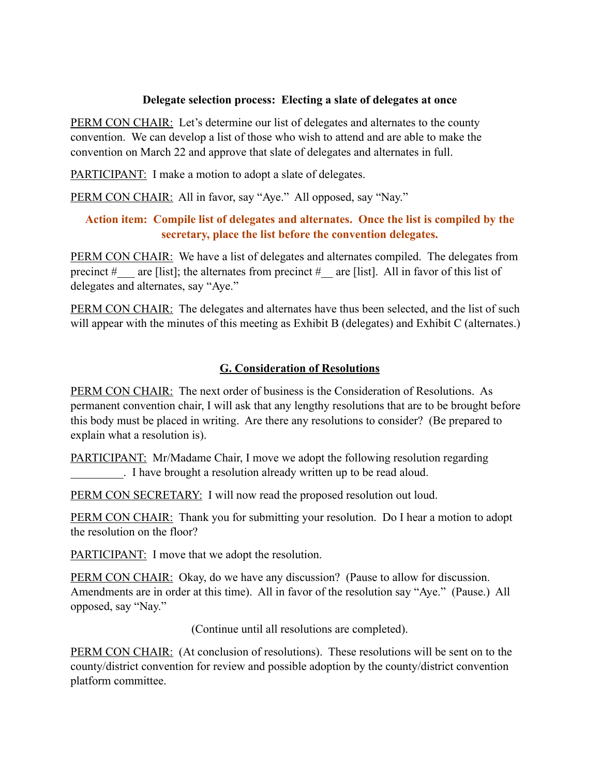#### **Delegate selection process: Electing a slate of delegates at once**

PERM CON CHAIR: Let's determine our list of delegates and alternates to the county convention. We can develop a list of those who wish to attend and are able to make the convention on March 22 and approve that slate of delegates and alternates in full.

PARTICIPANT: I make a motion to adopt a slate of delegates.

PERM CON CHAIR: All in favor, say "Aye." All opposed, say "Nay."

### **Action item: Compile list of delegates and alternates. Once the list is compiled by the secretary, place the list before the convention delegates.**

PERM CON CHAIR: We have a list of delegates and alternates compiled. The delegates from precinct  $\#$  are [list]; the alternates from precinct  $\#$  are [list]. All in favor of this list of delegates and alternates, say "Aye."

PERM CON CHAIR: The delegates and alternates have thus been selected, and the list of such will appear with the minutes of this meeting as Exhibit B (delegates) and Exhibit C (alternates.)

## **G. Consideration of Resolutions**

PERM CON CHAIR: The next order of business is the Consideration of Resolutions. As permanent convention chair, I will ask that any lengthy resolutions that are to be brought before this body must be placed in writing. Are there any resolutions to consider? (Be prepared to explain what a resolution is).

PARTICIPANT: Mr/Madame Chair, I move we adopt the following resolution regarding . I have brought a resolution already written up to be read aloud.

PERM CON SECRETARY: I will now read the proposed resolution out loud.

PERM CON CHAIR: Thank you for submitting your resolution. Do I hear a motion to adopt the resolution on the floor?

PARTICIPANT: I move that we adopt the resolution.

PERM CON CHAIR: Okay, do we have any discussion? (Pause to allow for discussion. Amendments are in order at this time). All in favor of the resolution say "Aye." (Pause.) All opposed, say "Nay."

(Continue until all resolutions are completed).

PERM CON CHAIR: (At conclusion of resolutions). These resolutions will be sent on to the county/district convention for review and possible adoption by the county/district convention platform committee.